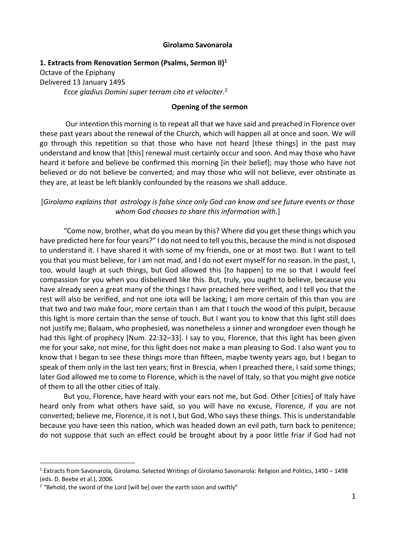# **Girolamo Savonarola**

**1. Extracts from Renovation Sermon (Psalms, Sermon II)1** Octave of the Epiphany Delivered 13 January 1495 *Ecce gladius Domini super terram cito et velociter*. 2

### **Opening of the sermon**

Our intention this morning is to repeat all that we have said and preached in Florence over these past years about the renewal of the Church, which will happen all at once and soon. We will go through this repetition so that those who have not heard [these things] in the past may understand and know that [this] renewal must certainly occur and soon. And may those who have heard it before and believe be confirmed this morning [in their belief]; may those who have not believed or do not believe be converted; and may those who will not believe, ever obstinate as they are, at least be left blankly confounded by the reasons we shall adduce.

# [*Girolamo explains that astrology is false since only God can know and see future events or those whom God chooses to share this information with*.]

"Come now, brother, what do you mean by this? Where did you get these things which you have predicted here for four years?" I do not need to tell you this, because the mind is not disposed to understand it. I have shared it with some of my friends, one or at most two. But I want to tell you that you must believe, for I am not mad, and I do not exert myself for no reason. In the past, I, too, would laugh at such things, but God allowed this [to happen] to me so that I would feel compassion for you when you disbelieved like this. But, truly, you ought to believe, because you have already seen a great many of the things I have preached here verified, and I tell you that the rest will also be verified, and not one iota will be lacking; I am more certain of this than you are that two and two make four, more certain than I am that I touch the wood of this pulpit, because this light is more certain than the sense of touch. But I want you to know that this light still does not justify me; Balaam, who prophesied, was nonetheless a sinner and wrongdoer even though he had this light of prophecy [Num. 22:32–33]. I say to you, Florence, that this light has been given me for your sake, not mine, for this light does not make a man pleasing to God. I also want you to know that I began to see these things more than fifteen, maybe twenty years ago, but I began to speak of them only in the last ten years; first in Brescia, when I preached there, I said some things; later God allowed me to come to Florence, which is the navel of Italy, so that you might give notice of them to all the other cities of Italy.

But you, Florence, have heard with your ears not me, but God. Other [cities] of Italy have heard only from what others have said, so you will have no excuse, Florence, if you are not converted; believe me, Florence, it is not I, but God, Who says these things. This is understandable because you have seen this nation, which was headed down an evil path, turn back to penitence; do not suppose that such an effect could be brought about by a poor little friar if God had not

<sup>1</sup> Extracts from Savonarola, Girolamo. Selected Writings of Girolamo Savonarola: Religion and Politics, 1490 – 1498 (eds. D. Beebe et al.), 2006.

 $2$  "Behold, the sword of the Lord [will be] over the earth soon and swiftly"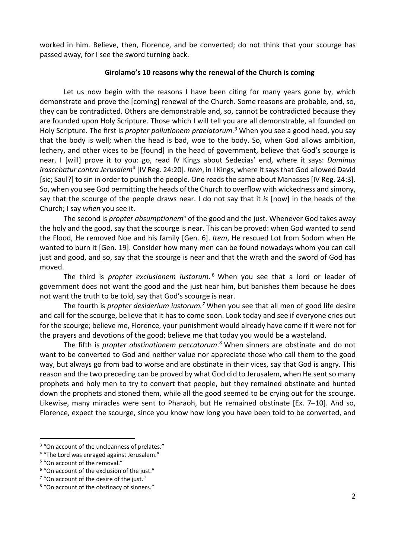worked in him. Believe, then, Florence, and be converted; do not think that your scourge has passed away, for I see the sword turning back.

# **Girolamo's 10 reasons why the renewal of the Church is coming**

Let us now begin with the reasons I have been citing for many years gone by, which demonstrate and prove the [coming] renewal of the Church. Some reasons are probable, and, so, they can be contradicted. Others are demonstrable and, so, cannot be contradicted because they are founded upon Holy Scripture. Those which I will tell you are all demonstrable, all founded on Holy Scripture. The first is *propter pollutionem praelatorum*.<sup>3</sup> When you see a good head, you say that the body is well; when the head is bad, woe to the body. So, when God allows ambition, lechery, and other vices to be [found] in the head of government, believe that God's scourge is near. I [will] prove it to you: go, read IV Kings about Sedecias' end, where it says: *Dominus irascebatur contra Jerusalem*<sup>4</sup> [IV Reg. 24:20]. *Item*, in I Kings, where it says that God allowed David [sic; Saul?] to sin in order to punish the people. One reads the same about Manasses [IV Reg. 24:3]. So, when you see God permitting the heads of the Church to overflow with wickedness and simony, say that the scourge of the people draws near. I do not say that it *is* [now] in the heads of the Church; I say *when* you see it.

The second is *propter absumptionem*<sup>5</sup> of the good and the just. Whenever God takes away the holy and the good, say that the scourge is near. This can be proved: when God wanted to send the Flood, He removed Noe and his family [Gen. 6]. *Item*, He rescued Lot from Sodom when He wanted to burn it [Gen. 19]. Consider how many men can be found nowadays whom you can call just and good, and so, say that the scourge is near and that the wrath and the sword of God has moved.

The third is *propter exclusionem iustorum*. <sup>6</sup> When you see that a lord or leader of government does not want the good and the just near him, but banishes them because he does not want the truth to be told, say that God's scourge is near.

The fourth is *propter desiderium iustorum.7* When you see that all men of good life desire and call for the scourge, believe that it has to come soon. Look today and see if everyone cries out for the scourge; believe me, Florence, your punishment would already have come if it were not for the prayers and devotions of the good; believe me that today you would be a wasteland.

The fifth is *propter obstinationem peccatorum*.<sup>8</sup> When sinners are obstinate and do not want to be converted to God and neither value nor appreciate those who call them to the good way, but always go from bad to worse and are obstinate in their vices, say that God is angry. This reason and the two preceding can be proved by what God did to Jerusalem, when He sent so many prophets and holy men to try to convert that people, but they remained obstinate and hunted down the prophets and stoned them, while all the good seemed to be crying out for the scourge. Likewise, many miracles were sent to Pharaoh, but He remained obstinate [Ex. 7–10]. And so, Florence, expect the scourge, since you know how long you have been told to be converted, and

<sup>&</sup>lt;sup>3</sup> "On account of the uncleanness of prelates."

<sup>4</sup> "The Lord was enraged against Jerusalem."

<sup>5</sup> "On account of the removal."

<sup>&</sup>lt;sup>6</sup> "On account of the exclusion of the just."

<sup>&</sup>lt;sup>7</sup> "On account of the desire of the just."

<sup>&</sup>lt;sup>8</sup> "On account of the obstinacy of sinners."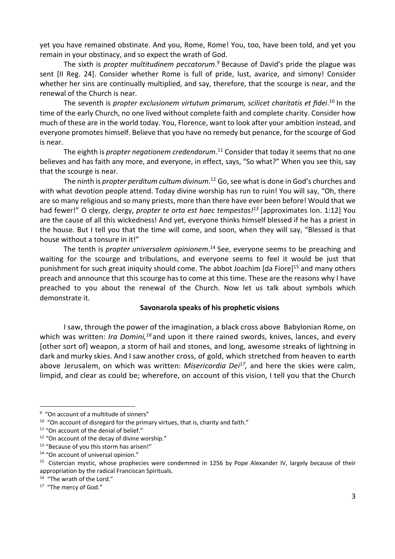yet you have remained obstinate. And you, Rome, Rome! You, too, have been told, and yet you remain in your obstinacy, and so expect the wrath of God.

The sixth is *propter multitudinem peccatorum*. <sup>9</sup> Because of David's pride the plague was sent [II Reg. 24]. Consider whether Rome is full of pride, lust, avarice, and simony! Consider whether her sins are continually multiplied, and say, therefore, that the scourge is near, and the renewal of the Church is near.

The seventh is *propter exclusionem virtutum primarum, scilicet charitatis et fidei*. <sup>10</sup> In the time of the early Church, no one lived without complete faith and complete charity. Consider how much of these are in the world today. You, Florence, want to look after your ambition instead, and everyone promotes himself. Believe that you have no remedy but penance, for the scourge of God is near.

The eighth is *propter negationem credendorum*. <sup>11</sup> Consider that today it seems that no one believes and has faith any more, and everyone, in effect, says, "So what?" When you see this, say that the scourge is near.

The ninth is *propter perditum cultum divinum*. <sup>12</sup> Go, see what is done in God's churches and with what devotion people attend. Today divine worship has run to ruin! You will say, "Oh, there are so many religious and so many priests, more than there have ever been before! Would that we had fewer!" O clergy, clergy, *propter te orta est haec tempestas!13* [approximates Ion. 1:12] You are the cause of all this wickedness! And yet, everyone thinks himself blessed if he has a priest in the house. But I tell you that the time will come, and soon, when they will say, "Blessed is that house without a tonsure in it!"

The tenth is *propter universalem opinionem*. <sup>14</sup> See, everyone seems to be preaching and waiting for the scourge and tribulations, and everyone seems to feel it would be just that punishment for such great iniquity should come. The abbot Joachim [da Fiore]<sup>15</sup> and many others preach and announce that this scourge has to come at this time. These are the reasons why I have preached to you about the renewal of the Church. Now let us talk about symbols which demonstrate it.

### **Savonarola speaks of his prophetic visions**

I saw, through the power of the imagination, a black cross above Babylonian Rome, on which was written: *Ira Domini*,<sup>16</sup> and upon it there rained swords, knives, lances, and every [other sort of] weapon, a storm of hail and stones, and long, awesome streaks of lightning in dark and murky skies. And I saw another cross, of gold, which stretched from heaven to earth above Jerusalem, on which was written: *Misericordia Dei17,* and here the skies were calm, limpid, and clear as could be; wherefore, on account of this vision, I tell you that the Church

<sup>&</sup>lt;sup>9</sup> "On account of a multitude of sinners"

<sup>&</sup>lt;sup>10</sup> "On account of disregard for the primary virtues, that is, charity and faith."

 $11$  "On account of the denial of belief."

 $12$  "On account of the decay of divine worship."

<sup>&</sup>lt;sup>13</sup> "Because of you this storm has arisen!"

<sup>&</sup>lt;sup>14</sup> "On account of universal opinion."

<sup>&</sup>lt;sup>15</sup> Cistercian mystic, whose prophecies were condemned in 1256 by Pope Alexander IV, largely because of their appropriation by the radical Franciscan Spirituals.

<sup>&</sup>lt;sup>16</sup> "The wrath of the Lord."

<sup>&</sup>lt;sup>17</sup> "The mercy of God."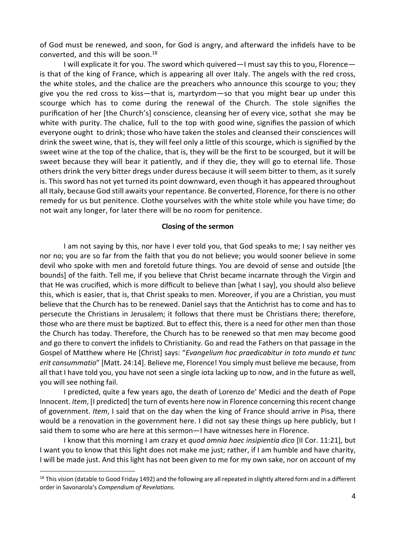of God must be renewed, and soon, for God is angry, and afterward the infidels have to be converted, and this will be soon.<sup>18</sup>

I will explicate it for you. The sword which quivered—I must say this to you, Florence is that of the king of France, which is appearing all over Italy. The angels with the red cross, the white stoles, and the chalice are the preachers who announce this scourge to you; they give you the red cross to kiss—that is, martyrdom—so that you might bear up under this scourge which has to come during the renewal of the Church. The stole signifies the purification of her [the Church's] conscience, cleansing her of every vice, sothat she may be white with purity. The chalice, full to the top with good wine, signifies the passion of which everyone ought to drink; those who have taken the stoles and cleansed their consciences will drink the sweet wine, that is, they will feel only a little of this scourge, which is signified by the sweet wine at the top of the chalice, that is, they will be the first to be scourged, but it will be sweet because they will bear it patiently, and if they die, they will go to eternal life. Those others drink the very bitter dregs under duress because it will seem bitter to them, as it surely is. This sword has not yet turned its point downward, even though it has appeared throughout all Italy, because God still awaits your repentance. Be converted, Florence, for there is no other remedy for us but penitence. Clothe yourselves with the white stole while you have time; do not wait any longer, for later there will be no room for penitence.

#### **Closing of the sermon**

I am not saying by this, nor have I ever told you, that God speaks to me; I say neither yes nor no; you are so far from the faith that you do not believe; you would sooner believe in some devil who spoke with men and foretold future things. You are devoid of sense and outside [the bounds] of the faith. Tell me, if you believe that Christ became incarnate through the Virgin and that He was crucified, which is more difficult to believe than [what I say], you should also believe this, which is easier, that is, that Christ speaks to men. Moreover, if you are a Christian, you must believe that the Church has to be renewed. Daniel says that the Antichrist has to come and has to persecute the Christians in Jerusalem; it follows that there must be Christians there; therefore, those who are there must be baptized. But to effect this, there is a need for other men than those the Church has today. Therefore, the Church has to be renewed so that men may become good and go there to convert the infidels to Christianity. Go and read the Fathers on that passage in the Gospel of Matthew where He [Christ] says: "*Evangelium hoc praedicabitur in toto mundo et tunc erit consummatio*" [Matt. 24:14]. Believe me, Florence! You simply must believe me because, from all that I have told you, you have not seen a single iota lacking up to now, and in the future as well, you will see nothing fail.

I predicted, quite a few years ago, the death of Lorenzo de' Medici and the death of Pope Innocent. *Item*, [I predicted] the turn of events here now in Florence concerning this recent change of government. *Item*, I said that on the day when the king of France should arrive in Pisa, there would be a renovation in the government here. I did not say these things up here publicly, but I said them to some who are here at this sermon—I have witnesses here in Florence.

I know that this morning I am crazy et *quod omnia haec insipientia dico* [II Cor. 11:21], but I want you to know that this light does not make me just; rather, if I am humble and have charity, I will be made just. And this light has not been given to me for my own sake, nor on account of my

<sup>&</sup>lt;sup>18</sup> This vision (datable to Good Friday 1492) and the following are all repeated in slightly altered form and in a different order in Savonarola's *Compendium of Revelations.*